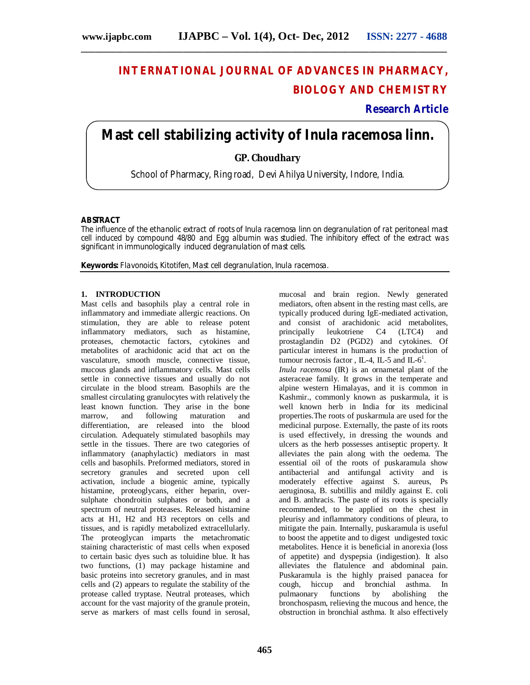# **INTERNATIONAL JOURNAL OF ADVANCES IN PHARMACY, BIOLOGY AND CHEMISTRY**

**Research Article**

# **Mast cell stabilizing activity of** *Inula racemosa* **linn.**

**GP. Choudhary**

School of Pharmacy, Ring road, Devi Ahilya University, Indore, India.

## **ABSTRACT**

The influence of the ethanolic extract of roots of *Inula racemosa* linn on degranulation of rat peritoneal mast cell induced by compound 48/80 and Egg albumin was studied. The inhibitory effect of the extract was significant in immunologically induced degranulation of mast cells.

**Keywords:** Flavonoids, Kitotifen, Mast cell degranulation, *Inula racemosa*.

#### **1. INTRODUCTION**

Mast cells and basophils play a central role in inflammatory and immediate allergic reactions. On stimulation, they are able to release potent inflammatory mediators, such as histamine, proteases, chemotactic factors, cytokines and metabolites of arachidonic acid that act on the vasculature, smooth muscle, connective tissue, mucous glands and inflammatory cells. Mast cells settle in connective tissues and usually do not circulate in the blood stream. Basophils are the smallest circulating granulocytes with relatively the least known function. They arise in the bone following maturation and differentiation, are released into the blood circulation. Adequately stimulated basophils may settle in the tissues. There are two categories of inflammatory (anaphylactic) mediators in mast cells and basophils. Preformed mediators, stored in secretory granules and secreted upon cell activation, include a biogenic amine, typically histamine, proteoglycans, either heparin, oversulphate chondroitin sulphates or both, and a spectrum of neutral proteases. Released histamine acts at H1, H2 and H3 receptors on cells and tissues, and is rapidly metabolized extracellularly. The proteoglycan imparts the metachromatic staining characteristic of mast cells when exposed to certain basic dyes such as toluidine blue. It has two functions, (1) may package histamine and basic proteins into secretory granules, and in mast cells and (2) appears to regulate the stability of the protease called tryptase. Neutral proteases, which account for the vast majority of the granule protein, serve as markers of mast cells found in serosal,

mucosal and brain region. Newly generated mediators, often absent in the resting mast cells, are typically produced during IgE-mediated activation, and consist of arachidonic acid metabolites,<br>principally leukotriene C4 (LTC4) and leukotriene C4 (LTC4) and prostaglandin D2 (PGD2) and cytokines. Of particular interest in humans is the production of tumour necrosis factor, IL-4, IL-5 and IL- $6^1$ . *Inula racemosa* (IR) is an ornametal plant of the asteraceae family. It grows in the temperate and alpine western Himalayas, and it is common in Kashmir., commonly known as puskarmula, it is well known herb in India for its medicinal properties.The roots of puskarmula are used for the medicinal purpose. Externally, the paste of its roots is used effectively, in dressing the wounds and ulcers as the herb possesses antiseptic property. It alleviates the pain along with the oedema. The essential oil of the roots of puskaramula show antibacterial and antifungal activity and is moderately effective against S. aureus, Ps aeruginosa, B. subtillis and mildly against E. coli and B. anthracis. The paste of its roots is specially recommended, to be applied on the chest in pleurisy and inflammatory conditions of pleura, to mitigate the pain. Internally, puskaramula is useful to boost the appetite and to digest undigested toxic metabolites. Hence it is beneficial in anorexia (loss of appetite) and dyspepsia (indigestion). It also alleviates the flatulence and abdominal pain. Puskaramula is the highly praised panacea for cough, hiccup and bronchial asthma. In pulmaonary functions by abolishing the bronchospasm, relieving the mucous and hence, the obstruction in bronchial asthma. It also effectively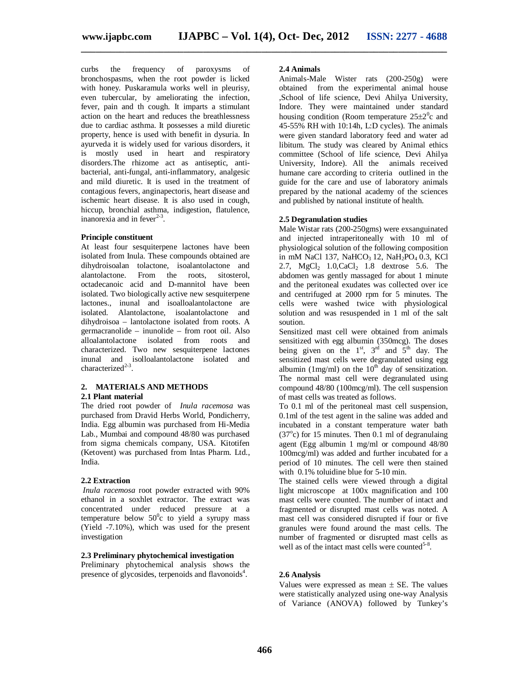**\_\_\_\_\_\_\_\_\_\_\_\_\_\_\_\_\_\_\_\_\_\_\_\_\_\_\_\_\_\_\_\_\_\_\_\_\_\_\_\_\_\_\_\_\_\_\_\_\_\_\_\_\_\_\_\_\_\_\_\_\_\_\_\_\_\_\_\_\_\_\_\_\_\_\_**

curbs the frequency of paroxysms of bronchospasms, when the root powder is licked with honey. Puskaramula works well in pleurisy, even tubercular, by ameliorating the infection, fever, pain and th cough. It imparts a stimulant action on the heart and reduces the breathlessness due to cardiac asthma. It possesses a mild diuretic property, hence is used with benefit in dysuria. In ayurveda it is widely used for various disorders, it is mostly used in heart and respiratory disorders.The rhizome act as antiseptic, antibacterial, anti-fungal, anti-inflammatory, analgesic and mild diuretic. It is used in the treatment of contagious fevers, anginapectoris, heart disease and ischemic heart disease. It is also used in cough, hiccup, bronchial asthma, indigestion, flatulence, inanorexia and in fever<sup> $2-3$ </sup>.

#### **Principle constituent**

At least four sesquiterpene lactones have been isolated from Inula. These compounds obtained are dihydroisoalan tolactone, isoalantolactone and alantolactone. From the roots, sitosterol, octadecanoic acid and D-mannitol have been isolated. Two biologically active new sesquiterpene lactones., inunal and isoalloalantolactone are isolated. Alantolactone, isoalantolactone and dihydroisoa – lantolactone isolated from roots. A germacranolide – inunolide – from root oil. Also alloalantolactone isolated from roots and characterized. Two new sesquiterpene lactones inunal and isolloalantolactone isolated and characterized $2-3$ .

#### **2. MATERIALS AND METHODS 2.1 Plant material**

The dried root powder of *Inula racemosa* was purchased from Dravid Herbs World, Pondicherry, India. Egg albumin was purchased from Hi-Media Lab., Mumbai and compound 48/80 was purchased from sigma chemicals company, USA. Kitotifen (Ketovent) was purchased from Intas Pharm. Ltd., India.

# **2.2 Extraction**

*Inula racemosa* root powder extracted with 90% ethanol in a soxhlet extractor. The extract was concentrated under reduced pressure at a temperature below  $50^{\circ}$ c to yield a syrupy mass (Yield -7.10%), which was used for the present investigation

#### **2.3 Preliminary phytochemical investigation**

Preliminary phytochemical analysis shows the presence of glycosides, terpenoids and flavonoids<sup>4</sup>.

#### **2.4 Animals**

Animals-Male Wister rats (200-250g) were obtained from the experimental animal house ,School of life science, Devi Ahilya University, Indore. They were maintained under standard housing condition (Room temperature  $25\pm2\textsuperscript{0}c$  and 45-55% RH with 10:14h, L:D cycles). The animals were given standard laboratory feed and water ad libitum. The study was cleared by Animal ethics committee (School of life science, Devi Ahilya University, Indore). All the animals received humane care according to criteria outlined in the guide for the care and use of laboratory animals prepared by the national academy of the sciences and published by national institute of health.

# **2.5 Degranulation studies**

Male Wistar rats (200-250gms) were exsanguinated and injected intraperitoneally with 10 ml of physiological solution of the following composition in mM NaCl 137, NaHCO<sub>3</sub> 12, NaH<sub>2</sub>PO<sub>4</sub> 0.3, KCl 2.7,  $MgCl_2$  1.0,CaCl<sub>2</sub> 1.8 dextrose 5.6. The abdomen was gently massaged for about 1 minute and the peritoneal exudates was collected over ice and centrifuged at 2000 rpm for 5 minutes. The cells were washed twice with physiological solution and was resuspended in 1 ml of the salt soution.

Sensitized mast cell were obtained from animals sensitized with egg albumin (350mcg). The doses being given on the  $1^{st}$ ,  $3^{rd}$  and  $5^{th}$  day. The sensitized mast cells were degranulated using egg albumin (1mg/ml) on the  $10^{th}$  day of sensitization. The normal mast cell were degranulated using compound 48/80 (100mcg/ml). The cell suspension of mast cells was treated as follows.

To 0.1 ml of the peritoneal mast cell suspension, 0.1ml of the test agent in the saline was added and incubated in a constant temperature water bath  $(37^{\circ}c)$  for 15 minutes. Then 0.1 ml of degranulaing agent (Egg albumin 1 mg/ml or compound 48/80 100mcg/ml) was added and further incubated for a period of 10 minutes. The cell were then stained with 0.1% toluidine blue for 5-10 min.

The stained cells were viewed through a digital light microscope at 100x magnification and 100 mast cells were counted. The number of intact and fragmented or disrupted mast cells was noted. A mast cell was considered disrupted if four or five granules were found around the mast cells. The number of fragmented or disrupted mast cells as well as of the intact mast cells were counted<sup>5-8</sup>.

#### **2.6 Analysis**

Values were expressed as mean  $\pm$  SE. The values were statistically analyzed using one-way Analysis of Variance (ANOVA) followed by Tunkey's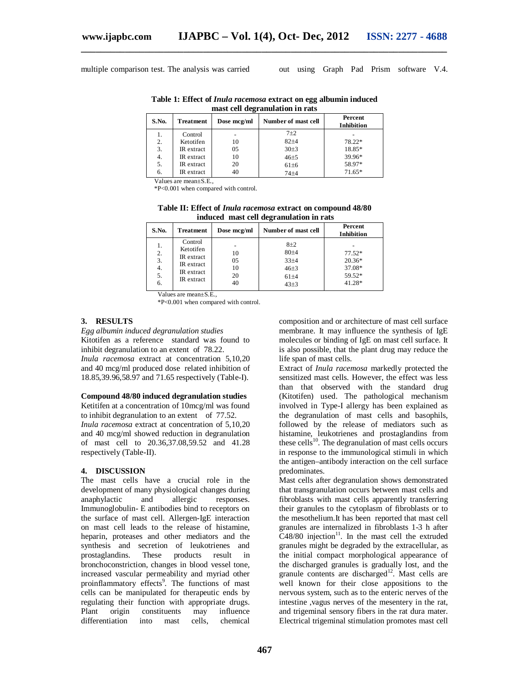multiple comparison test. The analysis was carried out using Graph Pad Prism software V.4.

**Table 1: Effect of** *Inula racemosa* **extract on egg albumin induced mast cell degranulation in rats**

**\_\_\_\_\_\_\_\_\_\_\_\_\_\_\_\_\_\_\_\_\_\_\_\_\_\_\_\_\_\_\_\_\_\_\_\_\_\_\_\_\_\_\_\_\_\_\_\_\_\_\_\_\_\_\_\_\_\_\_\_\_\_\_\_\_\_\_\_\_\_\_\_\_\_\_**

| S.No. | Treatment  | Dose mcg/ml | Number of mast cell | Percent<br><b>Inhibition</b> |
|-------|------------|-------------|---------------------|------------------------------|
| 1.    | Control    |             | $7\pm2$             |                              |
| 2.    | Ketotifen  | 10          | $82 + 4$            | 78.22*                       |
| 3.    | IR extract | 05          | 30±3                | 18.85*                       |
| 4.    | IR extract | 10          | $46 + 5$            | 39.96*                       |
| 5.    | IR extract | 20          | 61±6                | 58.97*                       |
| 6.    | IR extract | 40          | $74 + 4$            | $71.65*$                     |

Values are mean+S<sub>E</sub>

\*P<0.001 when compared with control.

**Table II: Effect of** *Inula racemosa* **extract on compound 48/80 induced mast cell degranulation in rats**

| S.No.                            | <b>Treatment</b>                                                             | Dose mcg/ml                | Number of mast cell                                           | Percent<br><b>Inhibition</b>                       |
|----------------------------------|------------------------------------------------------------------------------|----------------------------|---------------------------------------------------------------|----------------------------------------------------|
| 1.<br>2.<br>3.<br>4.<br>5.<br>6. | Control<br>Ketotifen<br>IR extract<br>IR extract<br>IR extract<br>IR extract | 10<br>05<br>10<br>20<br>40 | $8+2$<br>80±4<br>$33 + 4$<br>$46 + 3$<br>$61 + 4$<br>$43\pm3$ | $77.52*$<br>$20.36*$<br>37.08*<br>59.52*<br>41.28* |

Values are mean±S.E.,

\*P<0.001 when compared with control.

#### **3. RESULTS**

*Egg albumin induced degranulation studies* Kitotifen as a reference standard was found to inhibit degranulation to an extent of 78.22. *Inula racemosa* extract at concentration 5,10,20 and 40 mcg/ml produced dose related inhibition of 18.85,39.96,58.97 and 71.65 respectively (Table-I).

#### **Compound 48/80 induced degranulation studies**

Ketitifen at a concentration of 10mcg/ml was found to inhibit degranulation to an extent of 77.52. *Inula racemosa* extract at concentration of 5,10,20 and 40 mcg/ml showed reduction in degranulation of mast cell to 20.36,37.08,59.52 and 41.28 respectively (Table-II).

# **4. DISCUSSION**

The mast cells have a crucial role in the development of many physiological changes during anaphylactic and allergic responses. Immunoglobulin- E antibodies bind to receptors on the surface of mast cell. Allergen-IgE interaction on mast cell leads to the release of histamine, heparin, proteases and other mediators and the synthesis and secretion of leukotrienes and prostaglandins. These products result in bronchoconstriction, changes in blood vessel tone, increased vascular permeability and myriad other proinflammatory effects<sup>9</sup>. The functions of mast cells can be manipulated for therapeutic ends by regulating their function with appropriate drugs. Plant origin constituents may influence differentiation into mast cells, chemical

composition and or architecture of mast cell surface membrane. It may influence the synthesis of IgE molecules or binding of IgE on mast cell surface. It is also possible, that the plant drug may reduce the life span of mast cells.

Extract of *Inula racemosa* markedly protected the sensitized mast cells. However, the effect was less than that observed with the standard drug (Kitotifen) used. The pathological mechanism involved in Type-I allergy has been explained as the degranulation of mast cells and basophils, followed by the release of mediators such as histamine, leukotrienes and prostaglandins from these cells $10$ . The degranulation of mast cells occurs in response to the immunological stimuli in which the antigen–antibody interaction on the cell surface predominates.

Mast cells after degranulation shows demonstrated that transgranulation occurs between mast cells and fibroblasts with mast cells apparently transferring their granules to the cytoplasm of fibroblasts or to the mesothelium.It has been reported that mast cell granules are internalized in fibroblasts 1-3 h after  $C48/80$  injection<sup>11</sup>. In the mast cell the extruded granules might be degraded by the extracellular, as the initial compact morphological appearance of the discharged granules is gradually lost, and the granule contents are discharged<sup>12</sup>. Mast cells are well known for their close appositions to the nervous system, such as to the enteric nerves of the intestine ,vagus nerves of the mesentery in the rat, and trigeminal sensory fibers in the rat dura mater. Electrical trigeminal stimulation promotes mast cell